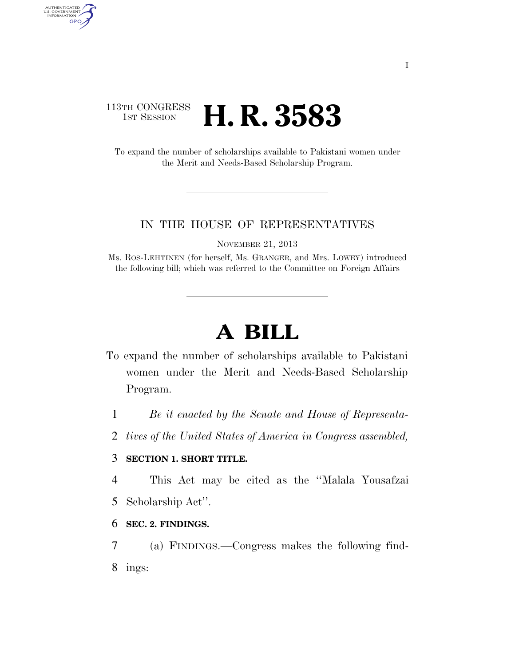### 113TH CONGRESS **1st Session H. R. 3583**

To expand the number of scholarships available to Pakistani women under the Merit and Needs-Based Scholarship Program.

#### IN THE HOUSE OF REPRESENTATIVES

NOVEMBER 21, 2013

Ms. ROS-LEHTINEN (for herself, Ms. GRANGER, and Mrs. LOWEY) introduced the following bill; which was referred to the Committee on Foreign Affairs

# **A BILL**

- To expand the number of scholarships available to Pakistani women under the Merit and Needs-Based Scholarship Program.
	- 1 *Be it enacted by the Senate and House of Representa-*
	- 2 *tives of the United States of America in Congress assembled,*

#### 3 **SECTION 1. SHORT TITLE.**

4 This Act may be cited as the ''Malala Yousafzai

- 5 Scholarship Act''.
- 6 **SEC. 2. FINDINGS.**
- 7 (a) FINDINGS.—Congress makes the following find-
- 8 ings:

AUTHENTICATED<br>U.S. GOVERNMENT<br>INFORMATION GPO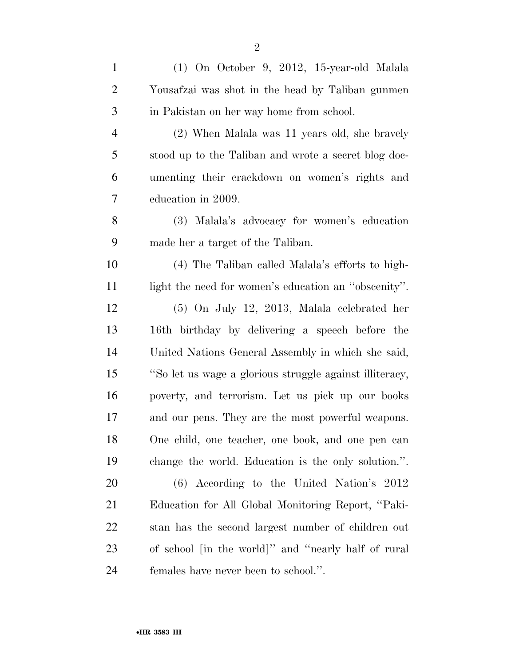| $\mathbf{1}$   | (1) On October 9, 2012, 15-year-old Malala              |
|----------------|---------------------------------------------------------|
| $\overline{c}$ | Yousafzai was shot in the head by Taliban gunmen        |
| 3              | in Pakistan on her way home from school.                |
| $\overline{4}$ | (2) When Malala was 11 years old, she bravely           |
| 5              | stood up to the Taliban and wrote a secret blog doc-    |
| 6              | umenting their crackdown on women's rights and          |
| 7              | education in 2009.                                      |
| 8              | (3) Malala's advocacy for women's education             |
| 9              | made her a target of the Taliban.                       |
| 10             | (4) The Taliban called Malala's efforts to high-        |
| 11             | light the need for women's education an "obscenity".    |
| 12             | $(5)$ On July 12, 2013, Malala celebrated her           |
| 13             | 16th birthday by delivering a speech before the         |
| 14             | United Nations General Assembly in which she said,      |
| 15             | "So let us wage a glorious struggle against illiteracy, |
| 16             | poverty, and terrorism. Let us pick up our books        |
| 17             | and our pens. They are the most powerful weapons.       |
| 18             | One child, one teacher, one book, and one pen can       |
| 19             | change the world. Education is the only solution.".     |
| 20             | $(6)$ According to the United Nation's 2012             |
| 21             | Education for All Global Monitoring Report, "Paki-      |
| 22             | stan has the second largest number of children out      |
| 23             | of school [in the world]" and "nearly half of rural     |
| 24             | females have never been to school.".                    |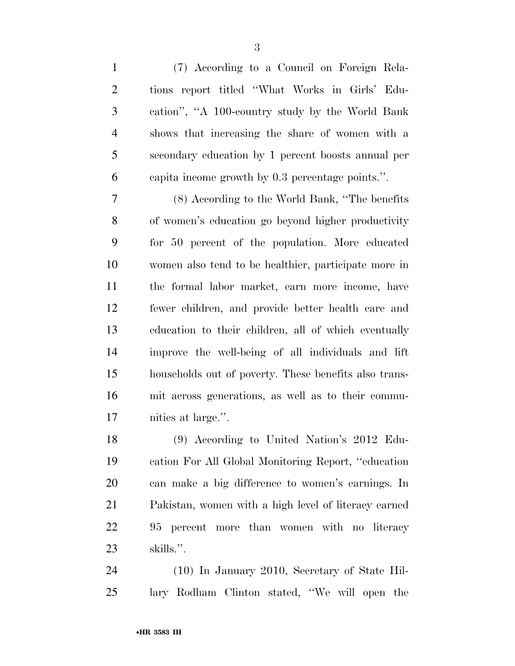(7) According to a Council on Foreign Rela- tions report titled ''What Works in Girls' Edu- cation'', ''A 100-country study by the World Bank shows that increasing the share of women with a secondary education by 1 percent boosts annual per capita income growth by 0.3 percentage points.''. (8) According to the World Bank, ''The benefits of women's education go beyond higher productivity for 50 percent of the population. More educated women also tend to be healthier, participate more in the formal labor market, earn more income, have fewer children, and provide better health care and education to their children, all of which eventually improve the well-being of all individuals and lift households out of poverty. These benefits also trans- mit across generations, as well as to their commu- nities at large.''. (9) According to United Nation's 2012 Edu-

 cation For All Global Monitoring Report, ''education can make a big difference to women's earnings. In Pakistan, women with a high level of literacy earned 95 percent more than women with no literacy skills.''.

 (10) In January 2010, Secretary of State Hil-lary Rodham Clinton stated, ''We will open the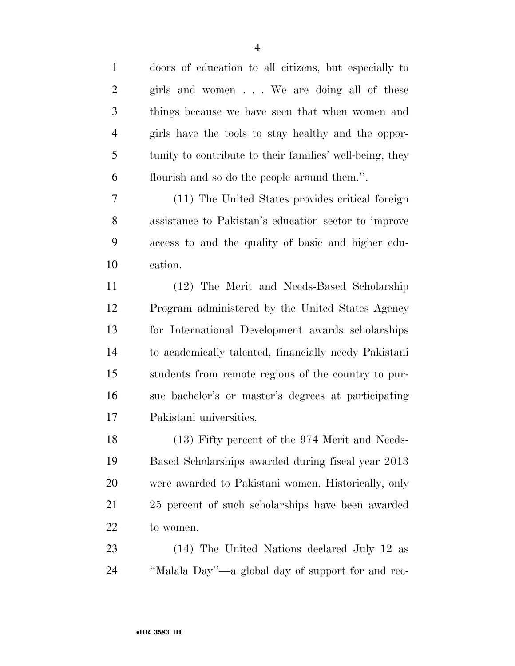doors of education to all citizens, but especially to girls and women . . . We are doing all of these things because we have seen that when women and girls have the tools to stay healthy and the oppor- tunity to contribute to their families' well-being, they flourish and so do the people around them.''. (11) The United States provides critical foreign assistance to Pakistan's education sector to improve access to and the quality of basic and higher edu- cation. (12) The Merit and Needs-Based Scholarship Program administered by the United States Agency for International Development awards scholarships to academically talented, financially needy Pakistani students from remote regions of the country to pur- sue bachelor's or master's degrees at participating Pakistani universities. (13) Fifty percent of the 974 Merit and Needs- Based Scholarships awarded during fiscal year 2013 were awarded to Pakistani women. Historically, only 25 percent of such scholarships have been awarded to women. (14) The United Nations declared July 12 as

''Malala Day''—a global day of support for and rec-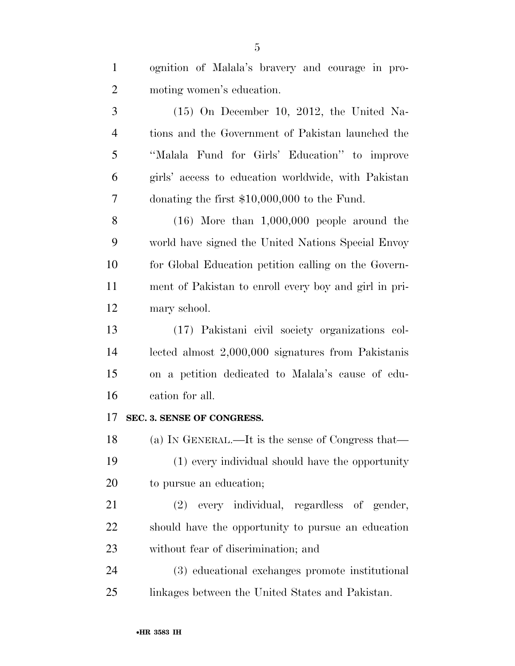| $\mathbf{1}$   | ognition of Malala's bravery and courage in pro-      |
|----------------|-------------------------------------------------------|
| $\overline{2}$ | moting women's education.                             |
| 3              | $(15)$ On December 10, 2012, the United Na-           |
| $\overline{4}$ | tions and the Government of Pakistan launched the     |
| 5              | "Malala Fund for Girls' Education" to improve         |
| 6              | girls' access to education worldwide, with Pakistan   |
| 7              | donating the first $$10,000,000$ to the Fund.         |
| 8              | $(16)$ More than $1,000,000$ people around the        |
| 9              | world have signed the United Nations Special Envoy    |
| 10             | for Global Education petition calling on the Govern-  |
| 11             | ment of Pakistan to enroll every boy and girl in pri- |
| 12             | mary school.                                          |
| 13             | (17) Pakistani civil society organizations col-       |
| 14             | lected almost 2,000,000 signatures from Pakistanis    |
| 15             | on a petition dedicated to Malala's cause of edu-     |
| 16             | cation for all.                                       |
| 17             | SEC. 3. SENSE OF CONGRESS.                            |
|                | 18 (a) IN GENERAL.—It is the sense of Congress that—  |
| 19             |                                                       |
|                | (1) every individual should have the opportunity      |
| 20             | to pursue an education;                               |
| 21             | (2) every individual, regardless of gender,           |
| 22             | should have the opportunity to pursue an education    |
| 23             | without fear of discrimination; and                   |
| 24             | (3) educational exchanges promote institutional       |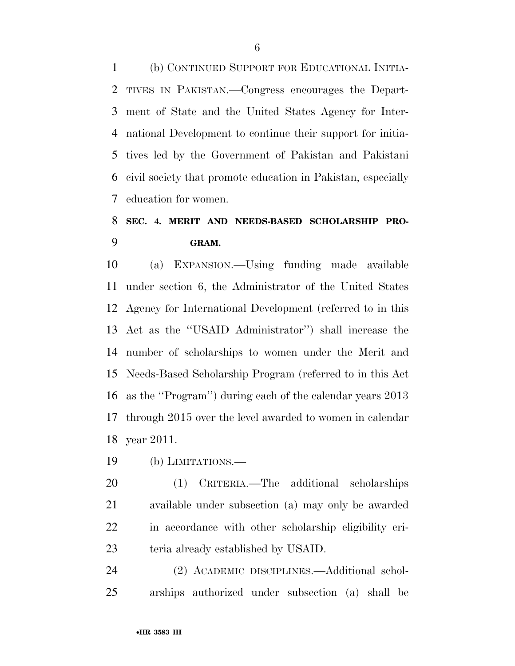(b) CONTINUED SUPPORT FOR EDUCATIONAL INITIA- TIVES IN PAKISTAN.—Congress encourages the Depart- ment of State and the United States Agency for Inter- national Development to continue their support for initia- tives led by the Government of Pakistan and Pakistani civil society that promote education in Pakistan, especially education for women.

## **SEC. 4. MERIT AND NEEDS-BASED SCHOLARSHIP PRO-GRAM.**

 (a) EXPANSION.—Using funding made available under section 6, the Administrator of the United States Agency for International Development (referred to in this Act as the ''USAID Administrator'') shall increase the number of scholarships to women under the Merit and Needs-Based Scholarship Program (referred to in this Act as the ''Program'') during each of the calendar years 2013 through 2015 over the level awarded to women in calendar year 2011.

(b) LIMITATIONS.—

 (1) CRITERIA.—The additional scholarships available under subsection (a) may only be awarded in accordance with other scholarship eligibility cri-teria already established by USAID.

 (2) ACADEMIC DISCIPLINES.—Additional schol-arships authorized under subsection (a) shall be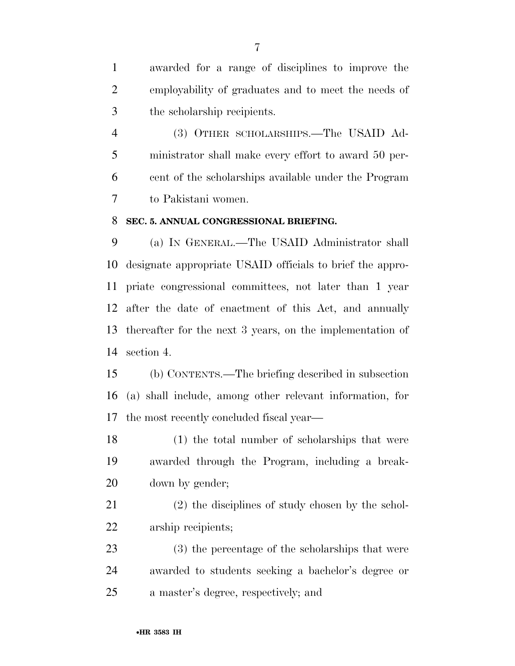awarded for a range of disciplines to improve the employability of graduates and to meet the needs of the scholarship recipients.

 (3) OTHER SCHOLARSHIPS.—The USAID Ad- ministrator shall make every effort to award 50 per- cent of the scholarships available under the Program to Pakistani women.

#### **SEC. 5. ANNUAL CONGRESSIONAL BRIEFING.**

 (a) IN GENERAL.—The USAID Administrator shall designate appropriate USAID officials to brief the appro- priate congressional committees, not later than 1 year after the date of enactment of this Act, and annually thereafter for the next 3 years, on the implementation of section 4.

 (b) CONTENTS.—The briefing described in subsection (a) shall include, among other relevant information, for the most recently concluded fiscal year—

 (1) the total number of scholarships that were awarded through the Program, including a break-down by gender;

 (2) the disciplines of study chosen by the schol-arship recipients;

 (3) the percentage of the scholarships that were awarded to students seeking a bachelor's degree or a master's degree, respectively; and